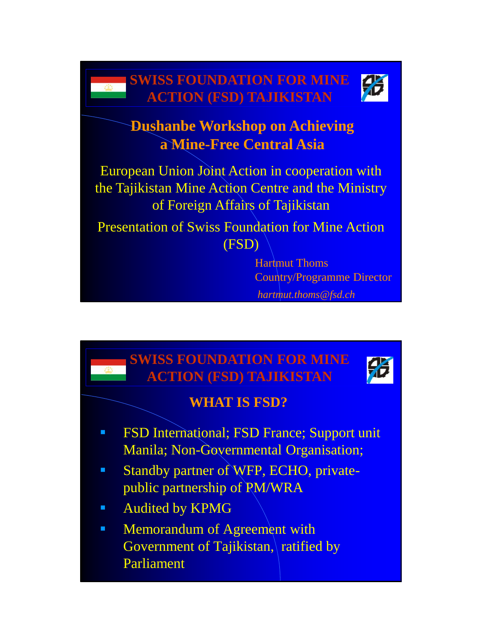

# **Dushanbe Workshop on Achieving a Mine-Free Central Asia**

European Union Joint Action in cooperation with the Tajikistan Mine Action Centre and the Ministry of Foreign Affairs of Tajikistan

Presentation of Swiss Foundation for Mine Action (FSD)

> Hartmut Thoms Country/Programme Director *hartmut.thoms@fsd.ch*

# **FSD International; FSD France; Support unit** Manila; Non-Governmental Organisation; Standby partner of WFP, ECHO, privatepublic partnership of PM/WRA **Audited by KPMG Memorandum of Agreement with** Government of Tajikistan, ratified by Parliament **SWISS FOUNDATION FOR MINE ACTION (FSD) TAJIKISTAN WHAT IS FSD?**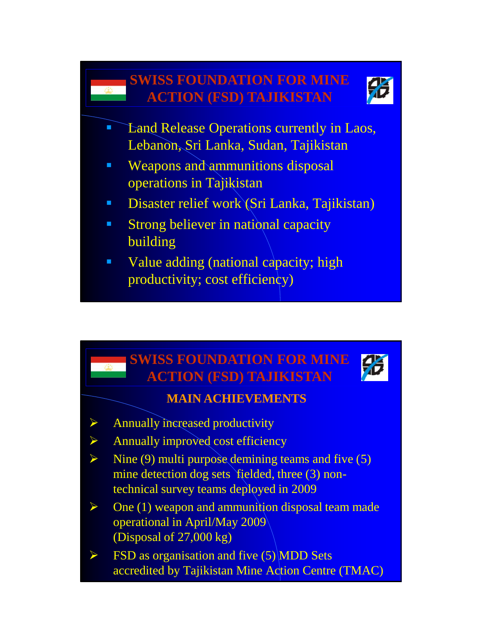

- Land Release Operations currently in Laos, Lebanon, Sri Lanka, Sudan, Tajikistan
- **Weapons and ammunitions disposal** operations in Tajikistan
- Disaster relief work *(Sri Lanka, Tajikistan)*
- **Strong believer in national capacity** building
- Value adding (national capacity; high productivity; cost efficiency)

#### **SWISS FOUNDATION FOR MINE ACTION (FSD) TAJIKISTAN**



#### **MAIN ACHIEVEMENTS**

- $\triangleright$  Annually increased productivity
- $\triangleright$  Annually improved cost efficiency
- $\triangleright$  Nine (9) multi purpose demining teams and five (5) mine detection dog sets fielded, three (3) nontechnical survey teams deployed in 2009
- $\triangleright$  One (1) weapon and ammunition disposal team made operational in April/May 2009 (Disposal of 27,000 kg)
- $\triangleright$  FSD as organisation and five (5) MDD Sets accredited by Tajikistan Mine Action Centre (TMAC)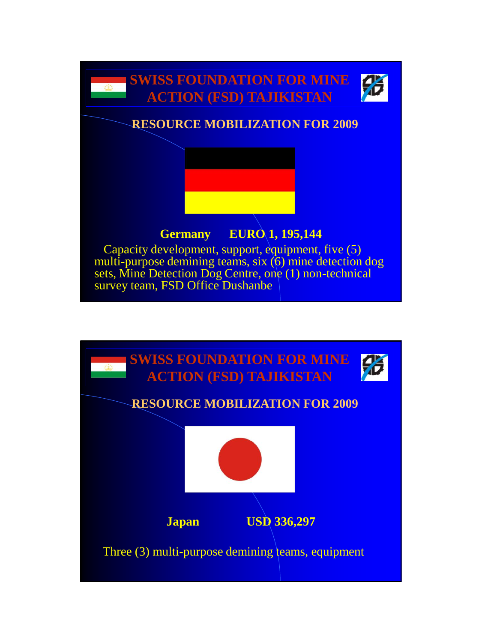

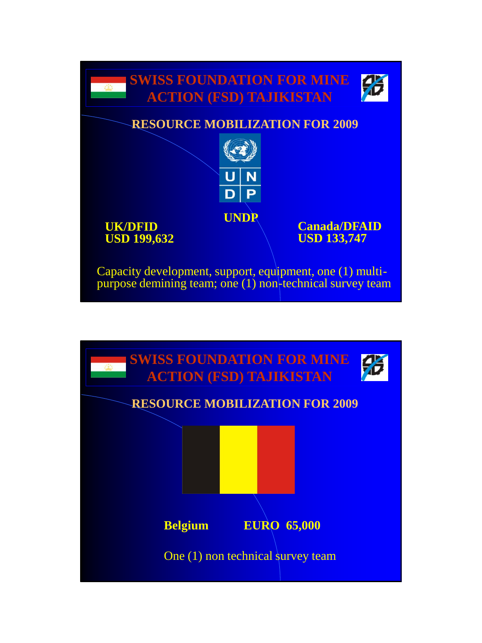

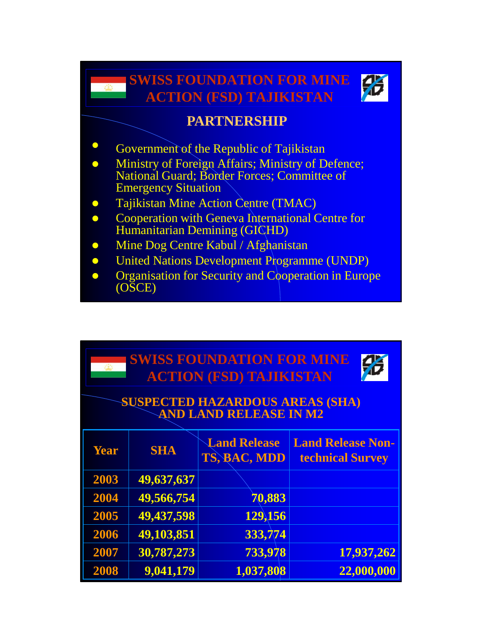

#### **PARTNERSHIP**

• Government of the Republic of Tajikistan

- **Ministry of Foreign Affairs; Ministry of Defence;** National Guard; Border Forces; Committee of Emergency Situation
- Tajikistan Mine Action Centre (TMAC)
- **•** Cooperation with Geneva International Centre for Humanitarian Demining (GICHD)
- Mine Dog Centre Kabul / Afghanistan
- United Nations Development Programme (UNDP)
- **•** Organisation for Security and Cooperation in Europe (OSCE)

| <b>SWISS FOUNDATION FOR MINE</b><br>16<br><b>ACTION (FSD) TAJIKISTAN</b><br><b>SUSPECTED HAZARDOUS AREAS (SHA)</b><br><b>AND LAND RELEASE IN M2</b> |            |                                     |                                                     |  |  |  |  |
|-----------------------------------------------------------------------------------------------------------------------------------------------------|------------|-------------------------------------|-----------------------------------------------------|--|--|--|--|
| <b>Year</b>                                                                                                                                         | <b>SHA</b> | <b>Land Release</b><br>TS, BAC, MDD | <b>Land Release Non-</b><br><b>technical Survey</b> |  |  |  |  |
| 2003                                                                                                                                                | 49,637,637 |                                     |                                                     |  |  |  |  |
| 2004                                                                                                                                                | 49,566,754 | 70,883                              |                                                     |  |  |  |  |
| 2005                                                                                                                                                | 49,437,598 | 129,156                             |                                                     |  |  |  |  |
| 2006                                                                                                                                                | 49,103,851 | 333,774                             |                                                     |  |  |  |  |
| 2007                                                                                                                                                | 30,787,273 | 733,978                             | 17,937,262                                          |  |  |  |  |
| 2008                                                                                                                                                | 9,041,179  | 1,037,808                           | 22,000,000                                          |  |  |  |  |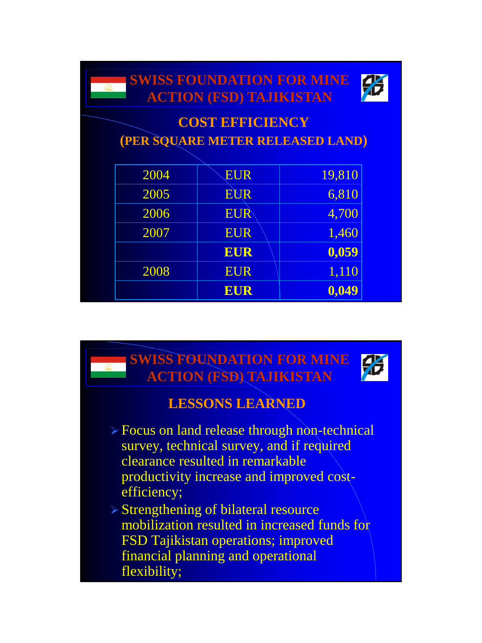

# **COST EFFICIENCY (PER SQUARE METER RELEASED LAND)**

| 2004 | <b>EUR</b> | 19,810 |
|------|------------|--------|
| 2005 | <b>EUR</b> | 6,810  |
| 2006 | <b>EUR</b> | 4,700  |
| 2007 | <b>EUR</b> | 1,460  |
|      | <b>EUR</b> | 0,059  |
| 2008 | <b>EUR</b> | 1,110  |
|      | <b>EUR</b> | 0,049  |

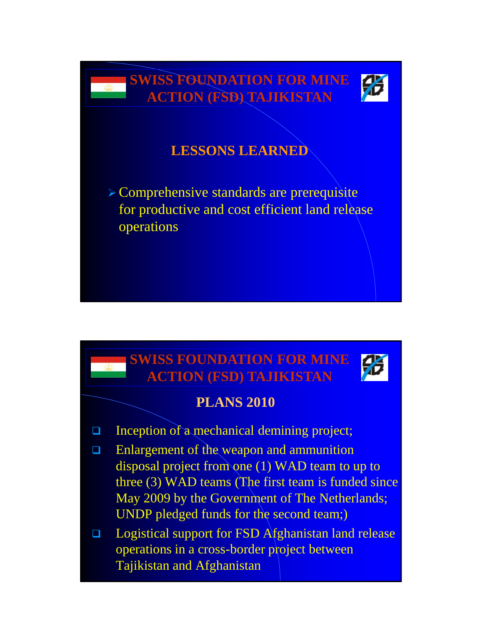

# **LESSONS LEARNED**

 Comprehensive standards are prerequisite for productive and cost efficient land release operations

#### **SWISS FOUNDATION FOR MINE ACTION (FSD) TAJIKISTAN**



#### **PLANS 2010**

 $\Box$  Inception of a mechanical demining project;

变

- **□** Enlargement of the weapon and ammunition disposal project from one (1) WAD team to up to three (3) WAD teams (The first team is funded since May 2009 by the Government of The Netherlands; UNDP pledged funds for the second team;)
- □ Logistical support for FSD Afghanistan land release operations in a cross-border project between Tajikistan and Afghanistan